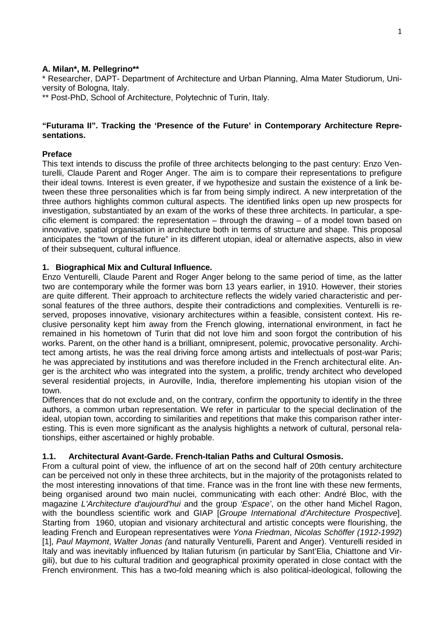#### **A. Milan\*, M. Pellegrino\*\***

\* Researcher, DAPT- Department of Architecture and Urban Planning, Alma Mater Studiorum, University of Bologna, Italy.

\*\* Post-PhD, School of Architecture, Polytechnic of Turin, Italy.

#### **"Futurama II". Tracking the 'Presence of the Future' in Contemporary Architecture Representations.**

#### **Preface**

This text intends to discuss the profile of three architects belonging to the past century: Enzo Venturelli, Claude Parent and Roger Anger. The aim is to compare their representations to prefigure their ideal towns. Interest is even greater, if we hypothesize and sustain the existence of a link between these three personalities which is far from being simply indirect. A new interpretation of the three authors highlights common cultural aspects. The identified links open up new prospects for investigation, substantiated by an exam of the works of these three architects. In particular, a specific element is compared: the representation  $-$  through the drawing  $-$  of a model town based on innovative, spatial organisation in architecture both in terms of structure and shape. This proposal anticipates the "town of the future" in its different utopian, ideal or alternative aspects, also in view of their subsequent, cultural influence.

# **1. Biographical Mix and Cultural Influence.**

Enzo Venturelli, Claude Parent and Roger Anger belong to the same period of time, as the latter two are contemporary while the former was born 13 years earlier, in 1910. However, their stories are quite different. Their approach to architecture reflects the widely varied characteristic and personal features of the three authors, despite their contradictions and complexities. Venturelli is reserved, proposes innovative, visionary architectures within a feasible, consistent context. His reclusive personality kept him away from the French glowing, international environment, in fact he remained in his hometown of Turin that did not love him and soon forgot the contribution of his works. Parent, on the other hand is a brilliant, omnipresent, polemic, provocative personality. Architect among artists, he was the real driving force among artists and intellectuals of post-war Paris; he was appreciated by institutions and was therefore included in the French architectural elite. Anger is the architect who was integrated into the system, a prolific, trendy architect who developed several residential projects, in Auroville, India, therefore implementing his utopian vision of the town.

Differences that do not exclude and, on the contrary, confirm the opportunity to identify in the three authors, a common urban representation. We refer in particular to the special declination of the ideal, utopian town, according to similarities and repetitions that make this comparison rather interesting. This is even more significant as the analysis highlights a network of cultural, personal relationships, either ascertained or highly probable.

# **1.1. Architectural Avant-Garde. French-Italian Paths and Cultural Osmosis.**

From a cultural point of view, the influence of art on the second half of 20th century architecture can be perceived not only in these three architects, but in the majority of the protagonists related to the most interesting innovations of that time. France was in the front line with these new ferments, being organised around two main nuclei, communicating with each other: André Bloc, with the magazine L'Architecture d'aujourd'hui and the group 'Espace', on the other hand Michel Ragon, with the boundless scientific work and GIAP [Groupe International d'Architecture Prospective]. Starting from 1960, utopian and visionary architectural and artistic concepts were flourishing, the leading French and European representatives were Yona Friedman, Nicolas Schöffer (1912-1992) [1], Paul Maymont, Walter Jonas (and naturally Venturelli, Parent and Anger). Venturelli resided in Italy and was inevitably influenced by Italian futurism (in particular by Sant'Elia, Chiattone and Virgili), but due to his cultural tradition and geographical proximity operated in close contact with the French environment. This has a two-fold meaning which is also political-ideological, following the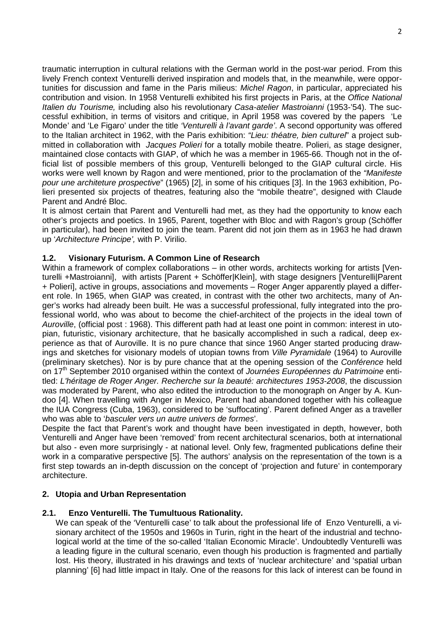traumatic interruption in cultural relations with the German world in the post-war period. From this lively French context Venturelli derived inspiration and models that, in the meanwhile, were opportunities for discussion and fame in the Paris milieus: *Michel Ragon*, in particular, appreciated his contribution and vision. In 1958 Venturelli exhibited his first projects in Paris, at the Office National Italien du Tourisme, including also his revolutionary Casa-atelier Mastroianni (1953-'54). The successful exhibition, in terms of visitors and critique, in April 1958 was covered by the papers 'Le Monde' and 'Le Figaro' under the title 'Venturelli à l'avant garde'. A second opportunity was offered to the Italian architect in 1962, with the Paris exhibition: "Lieu: théatre, bien culturel" a project submitted in collaboration with *Jacques Polieri* for a totally mobile theatre. Polieri, as stage designer, maintained close contacts with GIAP, of which he was a member in 1965-66. Though not in the official list of possible members of this group, Venturelli belonged to the GIAP cultural circle. His works were well known by Ragon and were mentioned, prior to the proclamation of the "Manifeste" pour une architeture prospective" (1965) [2], in some of his critiques [3]. In the 1963 exhibition, Polieri presented six projects of theatres, featuring also the "mobile theatre", designed with Claude Parent and André Bloc.

It is almost certain that Parent and Venturelli had met, as they had the opportunity to know each other's projects and poetics. In 1965, Parent, together with Bloc and with Ragon's group (Schöffer in particular), had been invited to join the team. Parent did not join them as in 1963 he had drawn up 'Architecture Principe', with P. Virilio.

# **1.2. Visionary Futurism. A Common Line of Research**

Within a framework of complex collaborations – in other words, architects working for artists [Venturelli +Mastroianni], with artists [Parent + Schöffer|Klein], with stage designers [Venturelli|Parent + Polieri], active in groups, associations and movements – Roger Anger apparently played a different role. In 1965, when GIAP was created, in contrast with the other two architects, many of Anger's works had already been built. He was a successful professional, fully integrated into the professional world, who was about to become the chief-architect of the projects in the ideal town of Auroville, (official post : 1968). This different path had at least one point in common: interest in utopian, futuristic, visionary architecture, that he basically accomplished in such a radical, deep experience as that of Auroville. It is no pure chance that since 1960 Anger started producing drawings and sketches for visionary models of utopian towns from *Ville Pyramidale* (1964) to Auroville (preliminary sketches). Nor is by pure chance that at the opening session of the Conférence held on 17<sup>th</sup> September 2010 organised within the context of Journées Européennes du Patrimoine entitled: L'héritage de Roger Anger. Recherche sur la beauté: architectures 1953-2008, the discussion was moderated by Parent, who also edited the introduction to the monograph on Anger by A. Kundoo [4]. When travelling with Anger in Mexico, Parent had abandoned together with his colleague the IUA Congress (Cuba, 1963), considered to be 'suffocating'. Parent defined Anger as a traveller who was able to 'basculer vers un autre univers de formes'.

Despite the fact that Parent's work and thought have been investigated in depth, however, both Venturelli and Anger have been 'removed' from recent architectural scenarios, both at international but also - even more surprisingly - at national level. Only few, fragmented publications define their work in a comparative perspective [5]. The authors' analysis on the representation of the town is a first step towards an in-depth discussion on the concept of 'projection and future' in contemporary architecture.

# **2. Utopia and Urban Representation**

# **2.1. Enzo Venturelli. The Tumultuous Rationality.**

We can speak of the 'Venturelli case' to talk about the professional life of Enzo Venturelli, a visionary architect of the 1950s and 1960s in Turin, right in the heart of the industrial and technological world at the time of the so-called 'Italian Economic Miracle'. Undoubtedly Venturelli was a leading figure in the cultural scenario, even though his production is fragmented and partially lost. His theory, illustrated in his drawings and texts of 'nuclear architecture' and 'spatial urban planning' [6] had little impact in Italy. One of the reasons for this lack of interest can be found in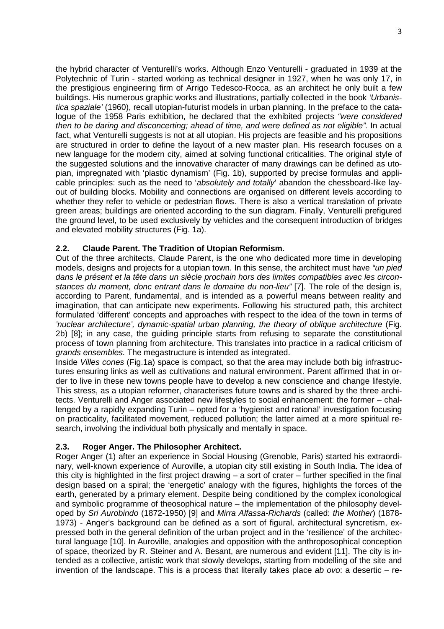the hybrid character of Venturelli's works. Although Enzo Venturelli - graduated in 1939 at the Polytechnic of Turin - started working as technical designer in 1927, when he was only 17, in the prestigious engineering firm of Arrigo Tedesco-Rocca, as an architect he only built a few buildings. His numerous graphic works and illustrations, partially collected in the book 'Urbanistica spaziale' (1960), recall utopian-futurist models in urban planning. In the preface to the catalogue of the 1958 Paris exhibition, he declared that the exhibited projects "were considered then to be daring and disconcerting; ahead of time, and were defined as not eligible". In actual fact, what Venturelli suggests is not at all utopian. His projects are feasible and his propositions are structured in order to define the layout of a new master plan. His research focuses on a new language for the modern city, aimed at solving functional criticalities. The original style of the suggested solutions and the innovative character of many drawings can be defined as utopian, impregnated with 'plastic dynamism' (Fig. 1b), supported by precise formulas and applicable principles: such as the need to 'absolutely and totally' abandon the chessboard-like layout of building blocks. Mobility and connections are organised on different levels according to whether they refer to vehicle or pedestrian flows. There is also a vertical translation of private green areas; buildings are oriented according to the sun diagram. Finally, Venturelli prefigured the ground level, to be used exclusively by vehicles and the consequent introduction of bridges and elevated mobility structures (Fig. 1a).

# **2.2. Claude Parent. The Tradition of Utopian Reformism.**

Out of the three architects, Claude Parent, is the one who dedicated more time in developing models, designs and projects for a utopian town. In this sense, the architect must have "un pied dans le présent et la tête dans un siècle prochain hors des limites compatibles avec les circonstances du moment, donc entrant dans le domaine du non-lieu" [7]. The role of the design is, according to Parent, fundamental, and is intended as a powerful means between reality and imagination, that can anticipate new experiments. Following his structured path, this architect formulated 'different' concepts and approaches with respect to the idea of the town in terms of 'nuclear architecture', dynamic-spatial urban planning, the theory of oblique architecture (Fig. 2b) [8]; in any case, the guiding principle starts from refusing to separate the constitutional process of town planning from architecture. This translates into practice in a radical criticism of grands ensembles. The megastructure is intended as integrated.

Inside Villes cones (Fig.1a) space is compact, so that the area may include both big infrastructures ensuring links as well as cultivations and natural environment. Parent affirmed that in order to live in these new towns people have to develop a new conscience and change lifestyle. This stress, as a utopian reformer, characterises future towns and is shared by the three architects. Venturelli and Anger associated new lifestyles to social enhancement: the former – challenged by a rapidly expanding Turin – opted for a 'hygienist and rational' investigation focusing on practicality, facilitated movement, reduced pollution; the latter aimed at a more spiritual research, involving the individual both physically and mentally in space.

# **2.3. Roger Anger. The Philosopher Architect.**

Roger Anger (1) after an experience in Social Housing (Grenoble, Paris) started his extraordinary, well-known experience of Auroville, a utopian city still existing in South India. The idea of this city is highlighted in the first project drawing – a sort of crater – further specified in the final design based on a spiral; the 'energetic' analogy with the figures, highlights the forces of the earth, generated by a primary element. Despite being conditioned by the complex iconological and symbolic programme of theosophical nature – the implementation of the philosophy developed by Sri Aurobindo (1872-1950) [9] and Mirra Alfassa-Richards (called: the Mother) (1878- 1973) - Anger's background can be defined as a sort of figural, architectural syncretism, expressed both in the general definition of the urban project and in the 'resilience' of the architectural language [10]. In Auroville, analogies and opposition with the anthroposophical conception of space, theorized by R. Steiner and A. Besant, are numerous and evident [11]. The city is intended as a collective, artistic work that slowly develops, starting from modelling of the site and invention of the landscape. This is a process that literally takes place ab ovo: a desertic – re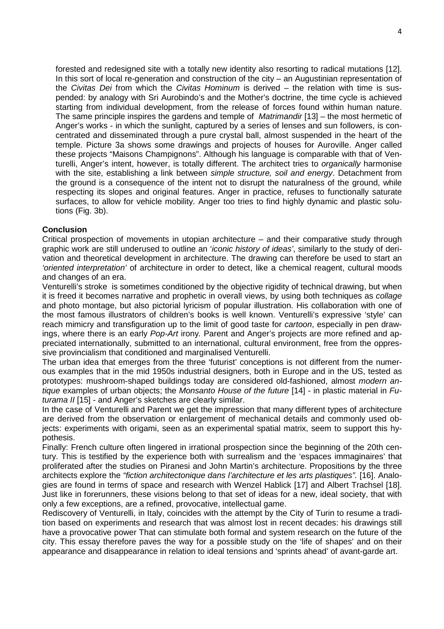forested and redesigned site with a totally new identity also resorting to radical mutations [12]. In this sort of local re-generation and construction of the city – an Augustinian representation of the Civitas Dei from which the Civitas Hominum is derived – the relation with time is suspended: by analogy with Sri Aurobindo's and the Mother's doctrine, the time cycle is achieved starting from individual development, from the release of forces found within human nature. The same principle inspires the gardens and temple of *Matrimandir* [13] – the most hermetic of Anger's works - in which the sunlight, captured by a series of lenses and sun followers, is concentrated and disseminated through a pure crystal ball, almost suspended in the heart of the temple. Picture 3a shows some drawings and projects of houses for Auroville. Anger called these projects "Maisons Champignons". Although his language is comparable with that of Venturelli, Anger's intent, however, is totally different. The architect tries to *organically* harmonise with the site, establishing a link between simple structure, soil and energy. Detachment from the ground is a consequence of the intent not to disrupt the naturalness of the ground, while respecting its slopes and original features. Anger in practice, refuses to functionally saturate surfaces, to allow for vehicle mobility. Anger too tries to find highly dynamic and plastic solutions (Fig. 3b).

#### **Conclusion**

Critical prospection of movements in utopian architecture – and their comparative study through graphic work are still underused to outline an 'iconic history of ideas', similarly to the study of derivation and theoretical development in architecture. The drawing can therefore be used to start an 'oriented interpretation' of architecture in order to detect, like a chemical reagent, cultural moods and changes of an era.

Venturelli's stroke is sometimes conditioned by the objective rigidity of technical drawing, but when it is freed it becomes narrative and prophetic in overall views, by using both techniques as collage and photo montage, but also pictorial lyricism of popular illustration. His collaboration with one of the most famous illustrators of children's books is well known. Venturelli's expressive 'style' can reach mimicry and transfiguration up to the limit of good taste for *cartoon*, especially in pen drawings, where there is an early *Pop-Art* irony. Parent and Anger's projects are more refined and appreciated internationally, submitted to an international, cultural environment, free from the oppressive provincialism that conditioned and marginalised Venturelli.

The urban idea that emerges from the three 'futurist' conceptions is not different from the numerous examples that in the mid 1950s industrial designers, both in Europe and in the US, tested as prototypes: mushroom-shaped buildings today are considered old-fashioned, almost modern antique examples of urban objects; the Monsanto House of the future [14] - in plastic material in Futurama II [15] - and Anger's sketches are clearly similar.

In the case of Venturelli and Parent we get the impression that many different types of architecture are derived from the observation or enlargement of mechanical details and commonly used objects: experiments with origami, seen as an experimental spatial matrix, seem to support this hypothesis.

Finally: French culture often lingered in irrational prospection since the beginning of the 20th century. This is testified by the experience both with surrealism and the 'espaces immaginaires' that proliferated after the studies on Piranesi and John Martin's architecture. Propositions by the three architects explore the "fiction architectonique dans l'architecture et les arts plastiques". [16]. Analogies are found in terms of space and research with Wenzel Hablick [17] and Albert Trachsel [18]. Just like in forerunners, these visions belong to that set of ideas for a new, ideal society, that with only a few exceptions, are a refined, provocative, intellectual game.

Rediscovery of Venturelli, in Italy, coincides with the attempt by the City of Turin to resume a tradition based on experiments and research that was almost lost in recent decades: his drawings still have a provocative power That can stimulate both formal and system research on the future of the city. This essay therefore paves the way for a possible study on the 'life of shapes' and on their appearance and disappearance in relation to ideal tensions and 'sprints ahead' of avant-garde art.